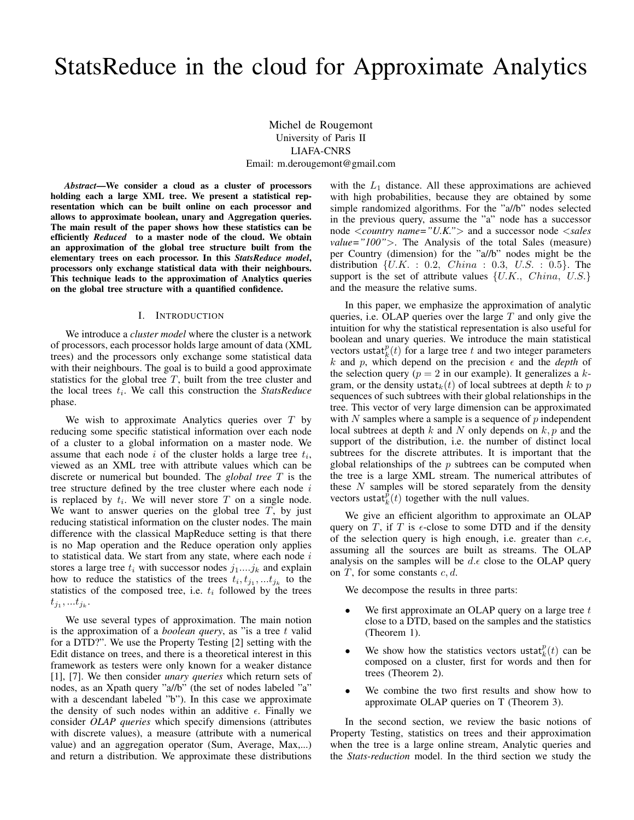# StatsReduce in the cloud for Approximate Analytics

Michel de Rougemont University of Paris II LIAFA-CNRS Email: m.derougemont@gmail.com

*Abstract*—We consider a cloud as a cluster of processors holding each a large XML tree. We present a statistical representation which can be built online on each processor and allows to approximate boolean, unary and Aggregation queries. The main result of the paper shows how these statistics can be efficiently *Reduced* to a master node of the cloud. We obtain an approximation of the global tree structure built from the elementary trees on each processor. In this *StatsReduce model*, processors only exchange statistical data with their neighbours. This technique leads to the approximation of Analytics queries on the global tree structure with a quantified confidence.

#### I. INTRODUCTION

We introduce a *cluster model* where the cluster is a network of processors, each processor holds large amount of data (XML trees) and the processors only exchange some statistical data with their neighbours. The goal is to build a good approximate statistics for the global tree  $T$ , built from the tree cluster and the local trees  $t_i$ . We call this construction the *StatsReduce* phase.

We wish to approximate Analytics queries over  $T$  by reducing some specific statistical information over each node of a cluster to a global information on a master node. We assume that each node  $i$  of the cluster holds a large tree  $t_i$ , viewed as an XML tree with attribute values which can be discrete or numerical but bounded. The *global tree* T is the tree structure defined by the tree cluster where each node  $i$ is replaced by  $t_i$ . We will never store T on a single node. We want to answer queries on the global tree  $T$ , by just reducing statistical information on the cluster nodes. The main difference with the classical MapReduce setting is that there is no Map operation and the Reduce operation only applies to statistical data. We start from any state, where each node  $i$ stores a large tree  $t_i$  with successor nodes  $j_1...j_k$  and explain how to reduce the statistics of the trees  $t_i, t_{j_1}, \ldots t_{j_k}$  to the statistics of the composed tree, i.e.  $t_i$  followed by the trees  $t_{j_1},...t_{j_k}.$ 

We use several types of approximation. The main notion is the approximation of a *boolean query*, as "is a tree t valid for a DTD?". We use the Property Testing [2] setting with the Edit distance on trees, and there is a theoretical interest in this framework as testers were only known for a weaker distance [1], [7]. We then consider *unary queries* which return sets of nodes, as an Xpath query "a//b" (the set of nodes labeled "a" with a descendant labeled "b"). In this case we approximate the density of such nodes within an additive  $\epsilon$ . Finally we consider *OLAP queries* which specify dimensions (attributes with discrete values), a measure (attribute with a numerical value) and an aggregation operator (Sum, Average, Max,...) and return a distribution. We approximate these distributions

with the  $L_1$  distance. All these approximations are achieved with high probabilities, because they are obtained by some simple randomized algorithms. For the "a//b" nodes selected in the previous query, assume the "a" node has a successor node <*country name="U.K."*> and a successor node <*sales value="100"*>. The Analysis of the total Sales (measure) per Country (dimension) for the "a//b" nodes might be the distribution  $\{U.K. : 0.2, China : 0.3, U.S. : 0.5\}$ . The support is the set of attribute values  $\{U.K., China, U.S.\}$ and the measure the relative sums.

In this paper, we emphasize the approximation of analytic queries, i.e. OLAP queries over the large  $T$  and only give the intuition for why the statistical representation is also useful for boolean and unary queries. We introduce the main statistical vectors ustat $_k^p(t)$  for a large tree t and two integer parameters k and p, which depend on the precision  $\epsilon$  and the *depth* of the selection query ( $p = 2$  in our example). It generalizes a kgram, or the density ustat<sub>k</sub> $(t)$  of local subtrees at depth k to p sequences of such subtrees with their global relationships in the tree. This vector of very large dimension can be approximated with  $N$  samples where a sample is a sequence of  $p$  independent local subtrees at depth  $k$  and  $N$  only depends on  $k, p$  and the support of the distribution, i.e. the number of distinct local subtrees for the discrete attributes. It is important that the global relationships of the  $p$  subtrees can be computed when the tree is a large XML stream. The numerical attributes of these  $N$  samples will be stored separately from the density vectors ustat $_k^{\dot{p}}(t)$  together with the null values.

We give an efficient algorithm to approximate an OLAP query on T, if T is  $\epsilon$ -close to some DTD and if the density of the selection query is high enough, i.e. greater than  $c.\epsilon$ , assuming all the sources are built as streams. The OLAP analysis on the samples will be  $d.\epsilon$  close to the OLAP query on  $T$ , for some constants  $c, d$ .

We decompose the results in three parts:

- We first approximate an OLAP query on a large tree  $t$ close to a DTD, based on the samples and the statistics (Theorem 1).
- We show how the statistics vectors ustat $_k^p(t)$  can be composed on a cluster, first for words and then for trees (Theorem 2).
- We combine the two first results and show how to approximate OLAP queries on T (Theorem 3).

In the second section, we review the basic notions of Property Testing, statistics on trees and their approximation when the tree is a large online stream, Analytic queries and the *Stats-reduction* model. In the third section we study the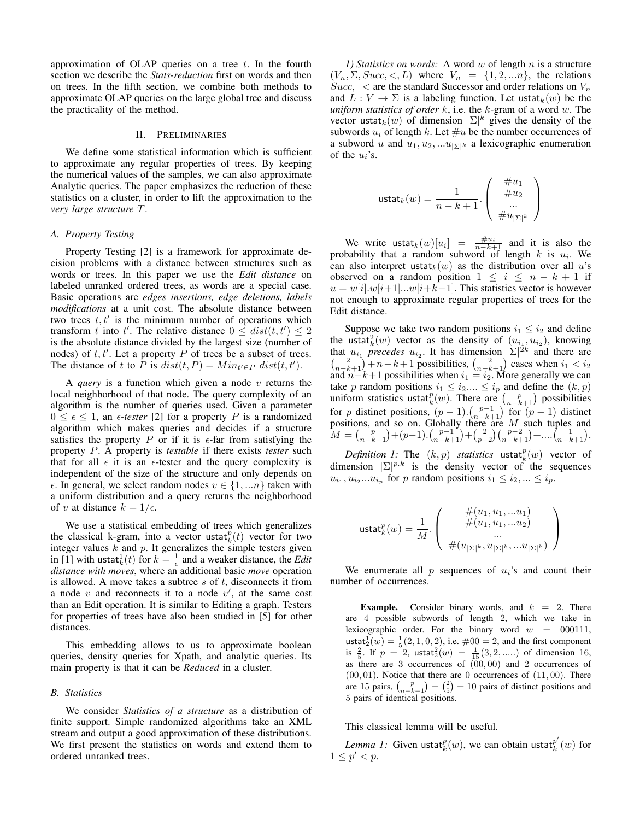approximation of OLAP queries on a tree  $t$ . In the fourth section we describe the *Stats-reduction* first on words and then on trees. In the fifth section, we combine both methods to approximate OLAP queries on the large global tree and discuss the practicality of the method.

#### II. PRELIMINARIES

We define some statistical information which is sufficient to approximate any regular properties of trees. By keeping the numerical values of the samples, we can also approximate Analytic queries. The paper emphasizes the reduction of these statistics on a cluster, in order to lift the approximation to the *very large structure* T.

#### *A. Property Testing*

Property Testing [2] is a framework for approximate decision problems with a distance between structures such as words or trees. In this paper we use the *Edit distance* on labeled unranked ordered trees, as words are a special case. Basic operations are *edges insertions, edge deletions, labels modifications* at a unit cost. The absolute distance between two trees  $t, t'$  is the minimum number of operations which transform t into t'. The relative distance  $0 \leq dist(t, t') \leq 2$ is the absolute distance divided by the largest size (number of nodes) of  $t, t'$ . Let a property P of trees be a subset of trees. The distance of t to P is  $dist(t, P) = Min_{t' \in P} dist(t, t').$ 

A *query* is a function which given a node v returns the local neighborhood of that node. The query complexity of an algorithm is the number of queries used. Given a parameter  $0 \leq \epsilon \leq 1$ , an  $\epsilon$ -tester [2] for a property P is a randomized algorithm which makes queries and decides if a structure satisfies the property P or if it is  $\epsilon$ -far from satisfying the property P. A property is *testable* if there exists *tester* such that for all  $\epsilon$  it is an  $\epsilon$ -tester and the query complexity is independent of the size of the structure and only depends on  $\epsilon$ . In general, we select random nodes  $v \in \{1, ...n\}$  taken with a uniform distribution and a query returns the neighborhood of v at distance  $k = 1/\epsilon$ .

We use a statistical embedding of trees which generalizes the classical k-gram, into a vector ustat $_k^p(t)$  vector for two integer values  $k$  and  $p$ . It generalizes the simple testers given in [1] with ustat $\frac{1}{k}(t)$  for  $k = \frac{1}{\epsilon}$  and a weaker distance, the *Edit distance with moves*, where an additional basic *move* operation is allowed. A move takes a subtree  $s$  of  $t$ , disconnects it from a node  $v$  and reconnects it to a node  $v'$ , at the same cost than an Edit operation. It is similar to Editing a graph. Testers for properties of trees have also been studied in [5] for other distances.

This embedding allows to us to approximate boolean queries, density queries for Xpath, and analytic queries. Its main property is that it can be *Reduced* in a cluster.

#### *B. Statistics*

We consider *Statistics of a structure* as a distribution of finite support. Simple randomized algorithms take an XML stream and output a good approximation of these distributions. We first present the statistics on words and extend them to ordered unranked trees.

*1) Statistics on words:* A word w of length n is a structure  $(V_n, \Sigma, Succ, <, L)$  where  $V_n = \{1, 2, ...n\}$ , the relations  $Succ$ ,  $\lt$  are the standard Successor and order relations on  $V_n$ and  $L: V \to \Sigma$  is a labeling function. Let ustat $_k(w)$  be the *uniform statistics of order* k, i.e. the k-gram of a word w. The vector ustat $_k(w)$  of dimension  $|\Sigma|^k$  gives the density of the subwords  $u_i$  of length k. Let  $\#u$  be the number occurrences of a subword u and  $u_1, u_2, ...u_{|\Sigma|^k}$  a lexicographic enumeration of the  $u_i$ 's.

$$
\text{ustat}_k(w) = \frac{1}{n-k+1}.\left(\begin{array}{c} \#u_1 \\ \#u_2 \\ \dots \\ \#u_{|\Sigma|^k} \end{array}\right)
$$

We write ustat $k(w)[u_i] = \frac{\#u_i}{n-k+1}$  and it is also the probability that a random subword of length  $k$  is  $u_i$ . We can also interpret ustat $k(w)$  as the distribution over all u's observed on a random position  $1 \leq i \leq n - k + 1$  if  $u = w[i] \cdot w[i+1] \cdot \ldots \cdot w[i+k-1]$ . This statistics vector is however not enough to approximate regular properties of trees for the Edit distance.

Suppose we take two random positions  $i_1 \leq i_2$  and define the ustat $_{k}^{2}(w)$  vector as the density of  $(u_{i_{1}}, u_{i_{2}})$ , knowing that  $u_{i_1}$  precedes  $u_{i_2}$ . It has dimension  $|\Sigma|^{2k}$  and there are  $\binom{2}{n-k+1} + n - k + 1$  possibilities,  $\binom{2}{n-k+1}$  cases when  $i_1 < i_2$ and  $n-k+1$  possibilities when  $i_1 = i_2$ . More generally we can take p random positions  $i_1 \leq i_2 ... \leq i_p$  and define the  $(k, p)$ uniform statistics ustat $_k^p(w)$ . There are  $\binom{p}{n-k+1}$  possibilities for p distinct positions,  $(p-1) \cdot {p-1 \choose n-k+1}$  for  $(p-1)$  distinct positions, and so on. Globally there are  $M$  such tuples and  $M = {p \choose n-k+1} + (p-1) \cdot {p-1 \choose n-k+1} + {2 \choose p-2} {p-2 \choose n-k+1} + \dots {1 \choose n-k+1}.$ 

*Definition 1:* The  $(k, p)$  *statistics* ustat $_k^p(w)$  vector of dimension  $|\Sigma|^{p.k}$  is the density vector of the sequences  $u_{i_1}, u_{i_2}...u_{i_p}$  for p random positions  $i_1 \leq i_2, ... \leq i_p$ .

$$
\text{ustat}_k^p(w) = \frac{1}{M} \cdot \left( \begin{array}{c} \#(u_1,u_1,...u_1) \\ \#(u_1,u_1,...u_2) \\ ... \\ \#(u_{|\Sigma|^k},u_{|\Sigma|^k},...,u_{|\Sigma|^k}) \end{array} \right)
$$

We enumerate all  $p$  sequences of  $u_i$ 's and count their number of occurrences.

**Example.** Consider binary words, and  $k = 2$ . There are 4 possible subwords of length 2, which we take in lexicographic order. For the binary word  $w = 000111$ , ustat $\frac{1}{2}(w) = \frac{1}{5}(2, 1, 0, 2)$ , i.e.  $\#00 = 2$ , and the first component is  $\frac{2}{5}$ . If  $p = 2$ , ustat $\frac{2}{2}(w) = \frac{1}{15}(3, 2, \dots)$  of dimension 16, as there are  $3$  occurrences of  $(00, 00)$  and  $2$  occurrences of  $(00, 01)$ . Notice that there are 0 occurrences of  $(11, 00)$ . There are 15 pairs,  $\binom{p}{n-k+1} = \binom{2}{5} = 10$  pairs of distinct positions and 5 pairs of identical positions.

This classical lemma will be useful.

*Lemma 1:* Given ustat $_k^p(w)$ , we can obtain ustat $_k^{p'}$  $_{k}^{p}\left( w\right)$  for  $1 \le p' < p$ .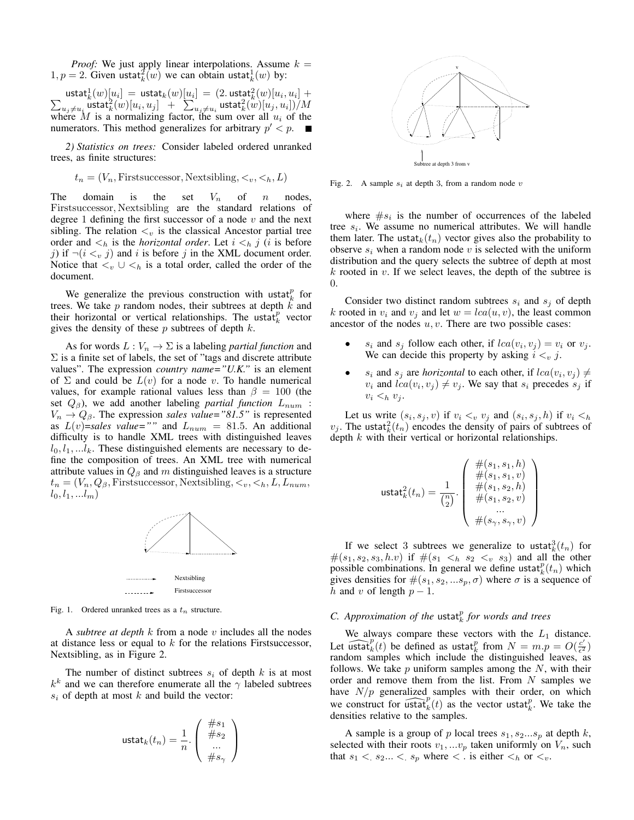*Proof:* We just apply linear interpolations. Assume  $k =$  $1, p = 2$ . Given ustat $_k^2(w)$  we can obtain ustat $_k^1(w)$  by:

 $\textsf{ustat}_k^1(w)[u_i] \ = \ \textsf{ustat}_k(w)[\underline{u}_i] \ = \ (2. \, \textsf{ustat}_k^2(w)[u_i, u_i])$  $\sum$  $]+$  $\sum_{u_j \neq u_i} \overset{ \text{ } }{\text{ } \textsf{u}}$ stat $_k^2(w)[u_i,u_j] \; + \; \sum_{u_j \neq u_i} \textsf{ustat}_k^2(w)[u_j,u_i])/M$ where M is a normalizing factor, the sum over all  $u_i$  of the numerators. This method generalizes for arbitrary  $p' < p$ .

*2) Statistics on trees:* Consider labeled ordered unranked trees, as finite structures:

$$
t_n = (V_n, \text{First} \text{successor}, \text{Next} \text{sibling}, \langle v, \langle h, L \rangle)
$$

The domain is the set  $V_n$  of n nodes, Firstsuccessor, Nextsibling are the standard relations of degree 1 defining the first successor of a node  $v$  and the next sibling. The relation  $\lt_v$  is the classical Ancestor partial tree order and  $\lt_h$  is the *horizontal order*. Let  $i \lt_h j$  (*i* is before j) if  $\neg(i \leq v j)$  and i is before j in the XML document order. Notice that  $\lt_v \cup \lt_h$  is a total order, called the order of the document.

We generalize the previous construction with ustat $_k^p$  for trees. We take  $p$  random nodes, their subtrees at depth  $\hat{k}$  and their horizontal or vertical relationships. The ustat $_k^p$  vector gives the density of these  $p$  subtrees of depth  $k$ .

As for words  $L: V_n \to \Sigma$  is a labeling *partial function* and  $\Sigma$  is a finite set of labels, the set of "tags and discrete attribute values". The expression *country name="U.K."* is an element of  $\Sigma$  and could be  $L(v)$  for a node v. To handle numerical values, for example rational values less than  $\beta = 100$  (the set  $Q_{\beta}$ ), we add another labeling *partial function*  $L_{num}$ :  $V_n \rightarrow Q_\beta$ . The expression *sales value*="81.5" is represented as  $L(v)$ =sales value="" and  $L_{num} = 81.5$ . An additional difficulty is to handle XML trees with distinguished leaves  $l_0, l_1, \ldots l_k$ . These distinguished elements are necessary to define the composition of trees. An XML tree with numerical attribute values in  $Q_\beta$  and m distinguished leaves is a structure  $t_n = (V_n, Q_\beta,$  First successor, Nextsibling,  $\lt_v, \lt_h, L, L_{num},$  $l_0, l_1, ... l_m)$ 



Fig. 1. Ordered unranked trees as a  $t_n$  structure.

A *subtree at depth* k from a node v includes all the nodes at distance less or equal to  $k$  for the relations First successor, Nextsibling, as in Figure 2.

The number of distinct subtrees  $s_i$  of depth k is at most  $k^k$  and we can therefore enumerate all the  $\gamma$  labeled subtrees  $s_i$  of depth at most k and build the vector:

$$
\text{ustat}_k(t_n) = \frac{1}{n} \cdot \left( \begin{array}{c} \#s_1 \\ \#s_2 \\ \dots \\ \#s_\gamma \end{array} \right)
$$



Fig. 2. A sample  $s_i$  at depth 3, from a random node v

where  $\#s_i$  is the number of occurrences of the labeled tree  $s_i$ . We assume no numerical attributes. We will handle them later. The ustat $k(t_n)$  vector gives also the probability to observe  $s_i$  when a random node v is selected with the uniform distribution and the query selects the subtree of depth at most  $k$  rooted in  $v$ . If we select leaves, the depth of the subtree is 0.

Consider two distinct random subtrees  $s_i$  and  $s_j$  of depth k rooted in  $v_i$  and  $v_j$  and let  $w = lca(u, v)$ , the least common ancestor of the nodes  $u, v$ . There are two possible cases:

- $s_i$  and  $s_j$  follow each other, if  $lca(v_i, v_j) = v_i$  or  $v_j$ . We can decide this property by asking  $i <_{v} j$ .
- $s_i$  and  $s_j$  are *horizontal* to each other, if  $lca(v_i, v_j) \neq$  $v_i$  and  $lca(v_i, v_j) \neq v_j$ . We say that  $s_i$  precedes  $s_j$  if  $v_i \leq_h v_i$ .

Let us write  $(s_i, s_j, v)$  if  $v_i <_v v_j$  and  $(s_i, s_j, h)$  if  $v_i <_h$  $v_j$ . The ustat $_k^2(t_n)$  encodes the density of pairs of subtrees of depth  $k$  with their vertical or horizontal relationships.

$$
\text{ustat}_{k}^{2}(t_{n}) = \frac{1}{\binom{n}{2}} \cdot \left( \begin{array}{c} \#(s_{1}, s_{1}, h) \\ \#(s_{1}, s_{1}, v) \\ \#(s_{1}, s_{2}, h) \\ \#(s_{1}, s_{2}, v) \\ \dots \\ \#(s_{\gamma}, s_{\gamma}, v) \end{array} \right)
$$

If we select 3 subtrees we generalize to ustat $_k^3(t_n)$  for  $#(s_1, s_2, s_3, h.v)$  if  $#(s_1 < h s_2 < v s_3)$  and all the other possible combinations. In general we define ustat $_k^p(t_n)$  which gives densities for  $#(s_1, s_2, ...s_p, \sigma)$  where  $\sigma$  is a sequence of h and v of length  $p-1$ .

# $C.$  Approximation of the ustat $_k^p$  for words and trees

We always compare these vectors with the  $L_1$  distance. Let  $\widehat{\text{ustat}}_k^p(t)$  be defined as ustat $_k^p$  from  $N = m.p = O(\frac{c'}{\epsilon^2})$  $\frac{c}{\epsilon^2}$ random samples which include the distinguished leaves, as follows. We take  $p$  uniform samples among the  $N$ , with their order and remove them from the list. From  $N$  samples we have  $N/p$  generalized samples with their order, on which we construct for  $\overline{\text{ustat}}_k^p(t)$  as the vector ustat $\overline{t}_k^p$ . We take the densities relative to the samples.

A sample is a group of p local trees  $s_1, s_2...s_p$  at depth k, selected with their roots  $v_1, ... v_p$  taken uniformly on  $V_n$ , such that  $s_1 < s_2... < s_p$  where  $\lt$ . is either  $\lt_h$  or  $\lt_v$ .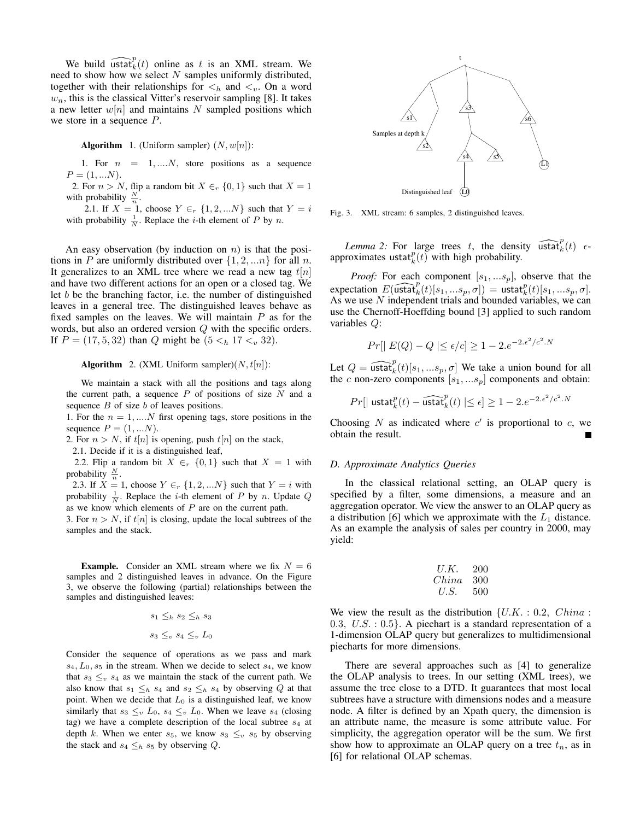We build  $\widehat{\text{ustat}}_k^p(t)$  online as t is an XML stream. We need to show how we select  $N$  samples uniformly distributed, together with their relationships for  $\lt_h$  and  $\lt_v$ . On a word  $w_n$ , this is the classical Vitter's reservoir sampling [8]. It takes a new letter  $w[n]$  and maintains N sampled positions which we store in a sequence P.

**Algorithm** 1. (Uniform sampler)  $(N, w[n])$ :

1. For  $n = 1, \ldots, N$ , store positions as a sequence  $P = (1, ... N).$ 

2. For  $n > N$ , flip a random bit  $X \in_{r} \{0, 1\}$  such that  $X = 1$ with probability  $\frac{N}{n}$ .

2.1. If  $X = 1$ , choose  $Y \in_{r} \{1, 2, ...N\}$  such that  $Y = i$ with probability  $\frac{1}{N}$ . Replace the *i*-th element of *P* by *n*.

An easy observation (by induction on  $n$ ) is that the positions in P are uniformly distributed over  $\{1, 2, \ldots n\}$  for all n. It generalizes to an XML tree where we read a new tag  $t[n]$ and have two different actions for an open or a closed tag. We let  $b$  be the branching factor, i.e. the number of distinguished leaves in a general tree. The distinguished leaves behave as fixed samples on the leaves. We will maintain  $P$  as for the words, but also an ordered version Q with the specific orders. If  $P = (17, 5, 32)$  than Q might be  $(5 <_h 17 <_v 32)$ .

**Algorithm** 2. (XML Uniform sampler) $(N, t[n])$ :

We maintain a stack with all the positions and tags along the current path, a sequence  $P$  of positions of size  $N$  and a sequence  $B$  of size  $b$  of leaves positions.

1. For the  $n = 1, \dots N$  first opening tags, store positions in the sequence  $P = (1, ...N)$ .

2. For  $n > N$ , if  $t[n]$  is opening, push  $t[n]$  on the stack,

2.1. Decide if it is a distinguished leaf,

2.2. Flip a random bit  $X \in \{0, 1\}$  such that  $X = 1$  with probability  $\frac{N}{n}$ .

2.3. If  $X = 1$ , choose  $Y \in_{r} \{1, 2, ...N\}$  such that  $Y = i$  with probability  $\frac{1}{N}$ . Replace the *i*-th element of *P* by *n*. Update *Q* as we know which elements of  $P$  are on the current path.

3. For  $n > N$ , if  $t[n]$  is closing, update the local subtrees of the samples and the stack.

**Example.** Consider an XML stream where we fix  $N = 6$ samples and 2 distinguished leaves in advance. On the Figure 3, we observe the following (partial) relationships between the samples and distinguished leaves:

$$
s_1 \leq_h s_2 \leq_h s_3
$$

$$
s_3 \leq_v s_4 \leq_v L_0
$$

Consider the sequence of operations as we pass and mark  $s_4, L_0, s_5$  in the stream. When we decide to select  $s_4$ , we know that  $s_3 \leq_v s_4$  as we maintain the stack of the current path. We also know that  $s_1 \leq_h s_4$  and  $s_2 \leq_h s_4$  by observing Q at that point. When we decide that  $L_0$  is a distinguished leaf, we know similarly that  $s_3 \leq_v L_0$ ,  $s_4 \leq_v L_0$ . When we leave  $s_4$  (closing tag) we have a complete description of the local subtree  $s_4$  at depth k. When we enter  $s_5$ , we know  $s_3 \leq_v s_5$  by observing the stack and  $s_4 \leq_h s_5$  by observing Q.



Fig. 3. XML stream: 6 samples, 2 distinguished leaves.

*Lemma 2:* For large trees t, the density  $\widehat{\text{ustat}}_k^p(t)$   $\epsilon$ approximates ustat $_{k}^{p}(t)$  with high probability.

*Proof:* For each component  $[s_1, \ldots, s_p]$ , observe that the expectation  $E(\widehat{\text{ustat}}_k^p(t)[s_1,...s_p,\sigma]) = \text{ustat}_k^p(t)[s_1,...s_p,\sigma].$ As we use N independent trials and bounded variables, we can use the Chernoff-Hoeffding bound [3] applied to such random variables Q:

$$
Pr[|E(Q) - Q| \le \epsilon/c] \ge 1 - 2.e^{-2.\epsilon^2/c^2 N}
$$

Let  $Q = \widehat{\text{ustat}}_k^p(t)[s_1, \dots s_p, \sigma]$  We take a union bound for all the c non-zero components  $[s_1, \ldots s_p]$  components and obtain:

$$
Pr[|\operatorname{ustat}_k^p(t) - \widehat{\operatorname{ustat}}_k^p(t)| \leq \epsilon] \geq 1 - 2.e^{-2.\epsilon^2/c^2.N}
$$

Choosing  $N$  as indicated where  $c'$  is proportional to  $c$ , we obtain the result.

#### *D. Approximate Analytics Queries*

In the classical relational setting, an OLAP query is specified by a filter, some dimensions, a measure and an aggregation operator. We view the answer to an OLAP query as a distribution [6] which we approximate with the  $L_1$  distance. As an example the analysis of sales per country in 2000, may yield:

$$
\begin{array}{cc}\nU.K. & 200 \\
China & 300 \\
U.S. & 500\n\end{array}
$$

We view the result as the distribution  $\{U.K. : 0.2, China :$ 0.3,  $U.S. : 0.5$ . A piechart is a standard representation of a 1-dimension OLAP query but generalizes to multidimensional piecharts for more dimensions.

There are several approaches such as [4] to generalize the OLAP analysis to trees. In our setting (XML trees), we assume the tree close to a DTD. It guarantees that most local subtrees have a structure with dimensions nodes and a measure node. A filter is defined by an Xpath query, the dimension is an attribute name, the measure is some attribute value. For simplicity, the aggregation operator will be the sum. We first show how to approximate an OLAP query on a tree  $t_n$ , as in [6] for relational OLAP schemas.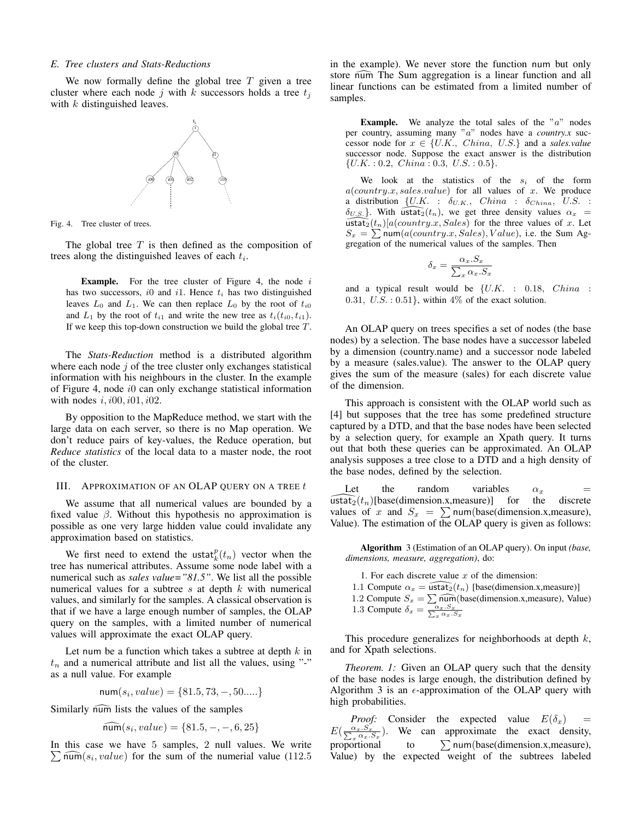#### *E. Tree clusters and Stats-Reductions*

We now formally define the global tree  $T$  given a tree cluster where each node j with k successors holds a tree  $t_i$ with  $k$  distinguished leaves.



Fig. 4. Tree cluster of trees.

The global tree  $T$  is then defined as the composition of trees along the distinguished leaves of each  $t_i$ .

**Example.** For the tree cluster of Figure 4, the node  $i$ has two successors,  $i0$  and  $i1$ . Hence  $t_i$  has two distinguished leaves  $L_0$  and  $L_1$ . We can then replace  $L_0$  by the root of  $t_{i0}$ and  $L_1$  by the root of  $t_{i1}$  and write the new tree as  $t_i(t_{i0}, t_{i1})$ . If we keep this top-down construction we build the global tree  $T$ .

The *Stats-Reduction* method is a distributed algorithm where each node  $j$  of the tree cluster only exchanges statistical information with his neighbours in the cluster. In the example of Figure 4, node i0 can only exchange statistical information with nodes  $i$ ,  $i00$ ,  $i01$ ,  $i02$ .

By opposition to the MapReduce method, we start with the large data on each server, so there is no Map operation. We don't reduce pairs of key-values, the Reduce operation, but *Reduce statistics* of the local data to a master node, the root of the cluster.

#### III. APPROXIMATION OF AN OLAP QUERY ON A TREE  $t$

We assume that all numerical values are bounded by a fixed value  $\beta$ . Without this hypothesis no approximation is possible as one very large hidden value could invalidate any approximation based on statistics.

We first need to extend the ustat $_k^p(t_n)$  vector when the tree has numerical attributes. Assume some node label with a numerical such as *sales value="81.5"*. We list all the possible numerical values for a subtree  $s$  at depth  $k$  with numerical values, and similarly for the samples. A classical observation is that if we have a large enough number of samples, the OLAP query on the samples, with a limited number of numerical values will approximate the exact OLAP query.

Let num be a function which takes a subtree at depth  $k$  in  $t_n$  and a numerical attribute and list all the values, using "-" as a null value. For example

$$
num(s_i, value) = \{81.5, 73, -, 50....\}
$$

Similarly num lists the values of the samples

$$
\widehat{\text{num}}(s_i, value) = \{81.5, -, -, 6, 25\}
$$

In this case we have 5 samples, 2 null values. We write  $\sum$  numerial value (112.5) for the sum of the numerial value (112.5) in the example). We never store the function num but only store num The Sum aggregation is a linear function and all linear functions can be estimated from a limited number of samples.

**Example.** We analyze the total sales of the " $a$ " nodes per country, assuming many "a" nodes have a *country.x* successor node for  $x \in \{U.K., China, U.S.\}$  and a *sales.value* successor node. Suppose the exact answer is the distribution  $\{U.K. : 0.2, China : 0.3, U.S. : 0.5\}.$ 

We look at the statistics of the  $s_i$  of the form  $a$ (country.x, sales.value) for all values of x. We produce a distribution  $\{U.K. : \delta_{U.K.}, \text{ China} : \delta_{China}, \text{ U.S. :}$  $\delta_{U.S.}$ . With ustat $\overline{2}(t_n)$ , we get three density values  $\alpha_x =$  $\widehat{\text{ustat}_2}(t_n)[a(\text{country}.x, \text{Sales})]$  for the three values of x. Let  $S_x = \sum \text{num}(a( country.x, Sales), Value),$  i.e. the Sum Aggregation of the numerical values of the samples. Then

$$
\delta_x = \frac{\alpha_x . S_x}{\sum_x \alpha_x . S_x}
$$

and a typical result would be  $\{U.K. : 0.18, China$ : 0.31,  $U.S. : 0.51$ , within 4% of the exact solution.

An OLAP query on trees specifies a set of nodes (the base nodes) by a selection. The base nodes have a successor labeled by a dimension (country.name) and a successor node labeled by a measure (sales.value). The answer to the OLAP query gives the sum of the measure (sales) for each discrete value of the dimension.

This approach is consistent with the OLAP world such as [4] but supposes that the tree has some predefined structure captured by a DTD, and that the base nodes have been selected by a selection query, for example an Xpath query. It turns out that both these queries can be approximated. An OLAP analysis supposes a tree close to a DTD and a high density of the base nodes, defined by the selection.

Let the random variables  $\alpha_x$  = ustat<sub>2</sub>(t<sub>n</sub>)[base(dimension.x,measure)] for the discrete values of x and  $S_x = \sum$  num(base(dimension.x, measure), Value). The estimation of the OLAP query is given as follows:

Algorithm 3 (Estimation of an OLAP query). On input *(base, dimensions, measure, aggregation)*, do:

- 1. For each discrete value  $x$  of the dimension:
- 1.1 Compute  $\alpha_x = \widehat{\text{ustat}_2}(t_n)$  [base(dimension.x,measure)]
- 1.2 Compute  $S_x = \sum_{\substack{\alpha_x, S_x \\ \sum_x \alpha_x, S_x}}$  (dimension.x, measure), Value)

This procedure generalizes for neighborhoods at depth k, and for Xpath selections.

*Theorem. 1:* Given an OLAP query such that the density of the base nodes is large enough, the distribution defined by Algorithm 3 is an  $\epsilon$ -approximation of the OLAP query with high probabilities.

*Proof:* Consider the expected value  $E(\delta_x)$  =  $E(\frac{\alpha_x \cdot S_x}{\sum_x \alpha_x \cdot S_x})$ . We can approximate the exact density, proportional to  $\sum$  num(base(dimension.x,measure), Value) by the expected weight of the subtrees labeled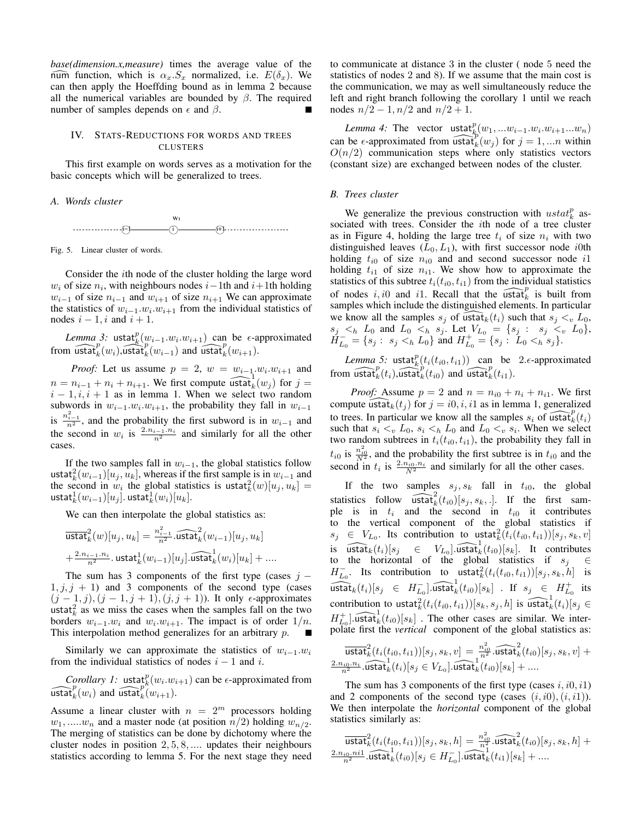*base(dimension.x,measure)* times the average value of the num function, which is  $\alpha_x.S_x$  normalized, i.e.  $E(\delta_x)$ . We can then apply the Hoeffding bound as in lemma 2 because all the numerical variables are bounded by  $\beta$ . The required number of samples depends on  $\epsilon$  and  $\beta$ .

## IV. STATS-REDUCTIONS FOR WORDS AND TREES **CLUSTERS**

This first example on words serves as a motivation for the basic concepts which will be generalized to trees.

*A. Words cluster*



Fig. 5. Linear cluster of words.

Consider the ith node of the cluster holding the large word  $w_i$  of size  $n_i$ , with neighbours nodes  $i-1$ th and  $i+1$ th holding  $w_{i-1}$  of size  $n_{i-1}$  and  $w_{i+1}$  of size  $n_{i+1}$  We can approximate the statistics of  $w_{i-1} \cdot w_i \cdot w_{i+1}$  from the individual statistics of nodes  $i - 1$ , i and  $i + 1$ .

*Lemma 3:* ustat ${}_{k}^{p}(w_{i-1}.w_{i}.w_{i+1})$  can be  $\epsilon$ -approximated from  $\widehat{\text{ustat}}_k^p(w_i)$ ,  $\widehat{\text{ustat}}_k^p(w_{i-1})$  and  $\widehat{\text{ustat}}_k^p(w_{i+1})$ .

*Proof:* Let us assume  $p = 2$ ,  $w = w_{i-1} \cdot w_i \cdot w_{i+1}$  and  $n = n_{i-1} + n_i + n_{i+1}$ . We first compute  $\widehat{\text{ustat}}_k^1(w_j)$  for  $j =$  $i - 1, i, i + 1$  as in lemma 1. When we select two random subwords in  $w_{i-1} \cdot w_i \cdot w_{i+1}$ , the probability they fall in  $w_{i-1}$ is  $\frac{n_{i-1}^2}{n^2}$ , and the probability the first subword is in  $w_{i-1}$  and the second in  $w_i$  is  $\frac{2.n_{i-1} \cdot n_i}{n^2}$  and similarly for all the other cases.

If the two samples fall in  $w_{i-1}$ , the global statistics follow ustat $_{k}^{2}(w_{i-1})[u_{j}, u_{k}]$ , whereas if the first sample is in  $w_{i-1}$  and the second in  $w_i$  the global statistics is ustat $^2_k(w)[u_j, u_k] =$  $\mathsf{ustat}_k^1(w_{i-1})[u_j].$   $\mathsf{ustat}_k^1(w_i)[u_k].$ 

We can then interpolate the global statistics as:

$$
\begin{aligned} &\overrightarrow{\text{ustat}}^2_k(w)[u_j,u_k] = \tfrac{n_{i-1}^2}{n^2} . \widehat{\text{ustat}}^2_k(w_{i-1}) [u_j,u_k] \\&+ \tfrac{2.n_{i-1}.n_i}{n^2} . \text{ustat}_k^1(w_{i-1}) [u_j] . \widehat{\text{ustat}}^1_k(w_i)[u_k] + .... \end{aligned}
$$

The sum has 3 components of the first type (cases  $j 1, j, j + 1$ ) and 3 components of the second type (cases  $(j-1, j), (j-1, j+1), (j, j+1)$ ). It only  $\epsilon$ -approximates ustat $k_k^2$  as we miss the cases when the samples fall on the two borders  $w_{i-1} \cdot w_i$  and  $w_i \cdot w_{i+1}$ . The impact is of order  $1/n$ . This interpolation method generalizes for an arbitrary p. П

Similarly we can approximate the statistics of  $w_{i-1}w_i$ from the individual statistics of nodes  $i - 1$  and i.

*Corollary 1:* ustat<sup>p</sup><sub>k</sub> $(w_i \cdot w_{i+1})$  can be  $\epsilon$ -approximated from  $\widehat{\text{mstat}}_k^p(w_i)$  and  $\widehat{\text{mstat}}_k^p(w_{i+1})$ .

Assume a linear cluster with  $n = 2^m$  processors holding  $w_1, \ldots, w_n$  and a master node (at position  $n/2$ ) holding  $w_{n/2}$ . The merging of statistics can be done by dichotomy where the cluster nodes in position 2, 5, 8, .... updates their neighbours statistics according to lemma 5. For the next stage they need to communicate at distance 3 in the cluster ( node 5 need the statistics of nodes 2 and 8). If we assume that the main cost is the communication, we may as well simultaneously reduce the left and right branch following the corollary 1 until we reach nodes  $n/2 - 1$ ,  $n/2$  and  $n/2 + 1$ .

*Lemma 4:* The vector  $\text{ustat}_{k_k}^p(w_1, ... w_{i-1}.w_i.w_{i+1}...w_n)$ can be  $\epsilon$ -approximated from  $\widehat{\text{ustat}}_k^p(w_j)$  for  $j = 1, ...n$  within  $O(n/2)$  communication steps where only statistics vectors (constant size) are exchanged between nodes of the cluster.

# *B. Trees cluster*

We generalize the previous construction with  $ustat_k^p$  associated with trees. Consider the ith node of a tree cluster as in Figure 4, holding the large tree  $t_i$  of size  $n_i$  with two distinguished leaves  $(L_0, L_1)$ , with first successor node *i*0th holding  $t_{i0}$  of size  $n_{i0}$  and and second successor node i1 holding  $t_{i1}$  of size  $n_{i1}$ . We show how to approximate the statistics of this subtree  $t_i(t_{i0}, t_{i1})$  from the individual statistics of nodes i, i0 and i1. Recall that the  $\widehat{\text{ustat}}_k^p$  is built from samples which include the distinguished elements. In particular we know all the samples  $s_j$  of  $\widehat{\text{ustat}}_k(t_i)$  such that  $s_j <_v L_0$ ,  $s_j \lt_{h} L_0$  and  $L_0 \lt_{h} s_j$ . Let  $V_{L_0} = \{s_j : s_j \lt_{v} L_0\},$  $H_{L_0}^- = \{s_j : s_j <_h L_0\}$  and  $H_{L_0}^+ = \{s_j : L_0 <_h s_j\}.$ 

*Lemma* 5: ustat $_{k}^{p}(t_i(t_{i0}, t_{i1}))$  can be 2. $\epsilon$ -approximated from  $\widehat{\text{ustat}}_k^p(t_i)$ ,  $\widehat{\text{ustat}}_k^p(t_{i0})$  and  $\widehat{\text{ustat}}_k^p(t_{i1})$ .

*Proof:* Assume  $p = 2$  and  $n = n_{i0} + n_i + n_{i1}$ . We first compute ustat $k(t_j)$  for  $j = i0, i, i1$  as in lemma 1, generalized to trees. In particular we know all the samples  $s_i$  of ustat  $\widehat{t}_k^p(t_i)$ such that  $s_i \lt_v L_0$ ,  $s_i \lt_h L_0$  and  $L_0 \lt_v s_i$ . When we select two random subtrees in  $t_i(t_{i0}, t_{i1})$ , the probability they fall in  $t_{i0}$  is  $\frac{n_{i0}^2}{N^2}$ , and the probability the first subtree is in  $t_{i0}$  and the second in  $t_i$  is  $\frac{2.n_{i0}.n_i}{N^2}$  and similarly for all the other cases.

If the two samples  $s_j, s_k$  fall in  $t_{i0}$ , the global statistics follow  $\widehat{\text{ustat}}_k^2(t_{i0})[s_j, s_k, .]$ . If the first sample is in  $t_i$  and the second in  $t_{i0}$  it contributes to the vertical component of the global statistics if  $s_j \in V_{L_0}$ . Its contribution to ustat $_{k}^{2}(\overline{t}_i(t_{i0}, t_{i1}))[s_j, s_k, v]$ is  $\widehat{\text{ustat}}_k(t_i)[s_j \in V_{L_0}].\widehat{\text{ustat}}_k^1(t_{i0})[s_k].$  It contributes to the horizontal of the global statistics if  $s_j \in \mathbb{R}$  $H_{L_0}^-$ . Its contribution to ustat $_{k}^2(t_i(t_{i0}, t_{i1}))[s_j, s_k, h]$  is  $\widetilde{\text{ustat}}_k(t_i)[s_j \in H_{L_0}^{-}].\widehat{\text{ustat}}_k^1(t_{i0})[s_k]$  . If  $s_j \in H_{L_0}^{+}$  its contribution to ustat $^2_k(t_i(t_{i0}, t_{i1}))[s_k, s_j, h]$  is  $\widehat{\text{ustat}}^1_k(t_i)[s_j \in$  $H_{L_0}^{\dagger}$ . ustat $_{k}^{\dagger}(t_{i0})[s_k]$ . The other cases are similar. We interpolate first the *vertical* component of the global statistics as:

$$
\overline{\text{ustat}}_k^2(t_i(t_{i0},t_{i1}))[s_j,s_k,v] = \frac{n_{i0}^2}{n^2}.\widehat{\text{ustat}}_k^2(t_{i0})[s_j,s_k,v] + \\\frac{2.n_{i0}.n_i}{n^2}.\widehat{\text{ustat}}_k^1(t_i)[s_j \in V_{L_0}].\widehat{\text{ustat}}_k^1(t_{i0})[s_k] + ....
$$

The sum has 3 components of the first type (cases  $i$ ,  $i$ 0,  $i$ 1) and 2 components of the second type (cases  $(i, i0), (i, i1)$ ). We then interpolate the *horizontal* component of the global statistics similarly as:

 $\overline{\mathsf{ustat}}_k^2(t_i(t_{i0},t_{i1}))[s_j,s_k,h] = \frac{n_{i0}^2}{n_{\star}^2}. \widehat{\mathsf{ustat}}_k^2(t_{i0})[s_j,s_k,h] +$  $\frac{2.n_{i0}.ni1}{n^2}$ .ustat $\frac{1}{k}(t_{i0})[s_j \in H_{L_0}^-]$ .ustat $\frac{n^2}{k}(t_{i1})[s_k] + ...$